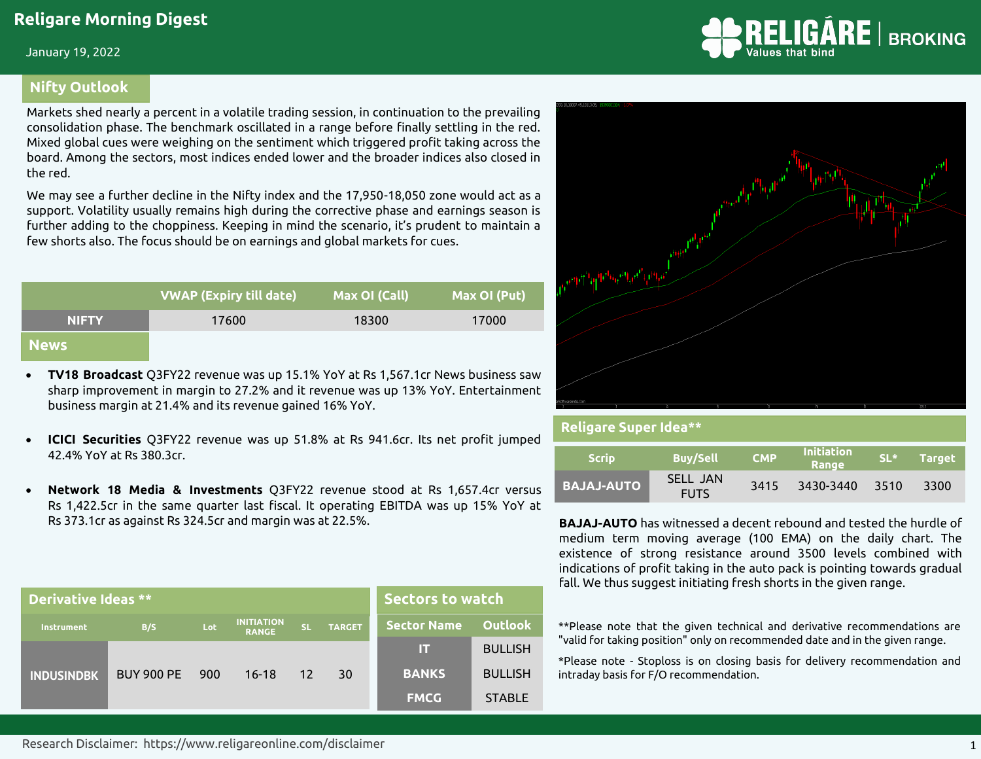January 19, 2022

#### **Nifty Outlook**

Markets shed nearly a percent in a volatile trading session, in continuation to the prevailing consolidation phase. The benchmark oscillated in a range before finally settling in the red. Mixed global cues were weighing on the sentiment which triggered profit taking across the board. Among the sectors, most indices ended lower and the broader indices also closed in the red.

We may see a further decline in the Nifty index and the 17,950-18,050 zone would act as a support. Volatility usually remains high during the corrective phase and earnings season is further adding to the choppiness. Keeping in mind the scenario, it's prudent to maintain a few shorts also. The focus should be on earnings and global markets for cues.

|              | <b>VWAP (Expiry till date)</b> | Max OI (Call) | Max OI (Put) |
|--------------|--------------------------------|---------------|--------------|
| <b>NIFTY</b> | 17600                          | 18300         | 17000        |
| <b>News</b>  |                                |               |              |

- **TV18 Broadcast** Q3FY22 revenue was up 15.1% YoY at Rs 1,567.1cr News business saw sharp improvement in margin to 27.2% and it revenue was up 13% YoY. Entertainment business margin at 21.4% and its revenue gained 16% YoY.
- **ICICI Securities** Q3FY22 revenue was up 51.8% at Rs 941.6cr. Its net profit jumped 42.4% YoY at Rs 380.3cr.
- **Network 18 Media & Investments** Q3FY22 revenue stood at Rs 1,657.4cr versus Rs 1,422.5cr in the same quarter last fiscal. It operating EBITDA was up 15% YoY at Rs 373.1cr as against Rs 324.5cr and margin was at 22.5%.

| Derivative Ideas ** |                   | <b>Sectors to watch</b> |                                   |           |               |                    |                |
|---------------------|-------------------|-------------------------|-----------------------------------|-----------|---------------|--------------------|----------------|
| Instrument          | B/S               | Lot                     | <b>INITIATION</b><br><b>RANGE</b> | <b>SL</b> | <b>TARGET</b> | <b>Sector Name</b> | <b>Outlook</b> |
|                     |                   |                         |                                   |           |               | Ш                  | <b>BULLISH</b> |
| <b>INDUSINDBK</b>   | <b>BUY 900 PE</b> | 900                     | $16-18$                           | 12        | 30            | <b>BANKS</b>       | <b>BULLISH</b> |
|                     |                   |                         |                                   |           |               | <b>FMCG</b>        | <b>STABLE</b>  |





| <b>Religare Super Idea**</b> |                         |            |                     |        |               |  |  |  |
|------------------------------|-------------------------|------------|---------------------|--------|---------------|--|--|--|
| <b>Scrip</b>                 | <b>Buy/Sell</b>         | <b>CMP</b> | Initiation<br>Range | $SL^*$ | <b>Target</b> |  |  |  |
| <b>BAJAJ-AUTO</b>            | SELL JAN<br><b>FUTS</b> | 3415       | 3430-3440           | 3510   | 3300          |  |  |  |

**BAJAJ-AUTO** has witnessed a decent rebound and tested the hurdle of medium term moving average (100 EMA) on the daily chart. The existence of strong resistance around 3500 levels combined with indications of profit taking in the auto pack is pointing towards gradual fall. We thus suggest initiating fresh shorts in the given range.

\*\*Please note that the given technical and derivative recommendations are "valid for taking position" only on recommended date and in the given range.

\*Please note - Stoploss is on closing basis for delivery recommendation and intraday basis for F/O recommendation.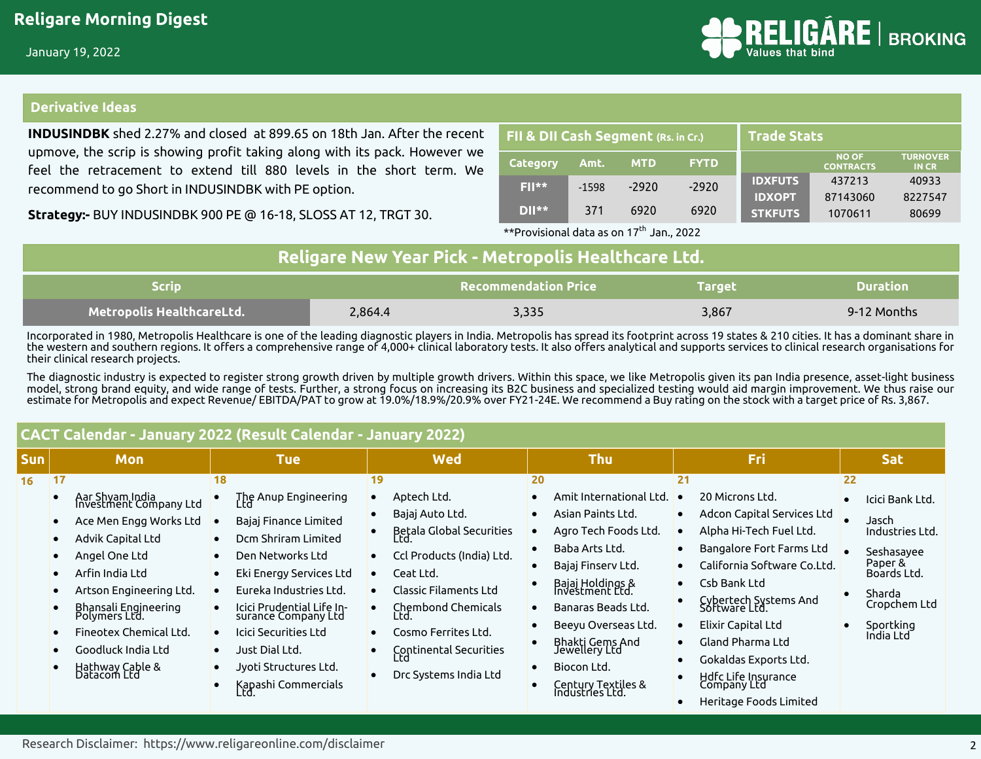

#### **Derivative Ideas**

**INDUSINDBK** shed 2.27% and closed at 899.65 on 18th Jan. After the recent upmove, the scrip is showing profit taking along with its pack. However we feel the retracement to extend till 880 levels in the short term. We recommend to go Short in INDUSINDBK with PE option.

**Strategy:-** BUY INDUSINDBK 900 PE @ 16-18, SLOSS AT 12, TRGT 30.

| FII & DII Cash Segment (Rs. in Cr.) |         |            | <b>Trade Stats</b> |                |                           |                                |
|-------------------------------------|---------|------------|--------------------|----------------|---------------------------|--------------------------------|
| <b>Category</b>                     | Amt.    | <b>MTD</b> | <b>FYTD</b>        |                | NO OF<br><b>CONTRACTS</b> | <b>TURNOVER</b><br><b>INCR</b> |
| $F  **$                             | $-1598$ | $-2920$    | $-2920$            | <b>IDXFUTS</b> | 437213                    | 40933                          |
|                                     |         |            |                    | <b>IDXOPT</b>  | 87143060                  | 8227547                        |
| $D  **$                             | 371     | 6920       | 6920               | <b>STKFUTS</b> | 1070611                   | 80699                          |

 $*$ \*Provisional data as on 17<sup>th</sup> Jan., 2022

| Religare New Year Pick - Metropolis Healthcare Ltd. |         |                             |               |                 |  |  |  |  |
|-----------------------------------------------------|---------|-----------------------------|---------------|-----------------|--|--|--|--|
| <b>Scrip</b>                                        |         | <b>Recommendation Price</b> | <b>Target</b> | <b>Duration</b> |  |  |  |  |
| <b>Metropolis HealthcareLtd.</b>                    | 2.864.4 | 3,335                       | 3.867         | 9-12 Months     |  |  |  |  |

Incorporated in 1980, Metropolis Healthcare is one of the leading diagnostic players in India. Metropolis has spread its footprint across 19 states & 210 cities. It has a dominant share in the western and southern regions. It offers a comprehensive range of 4,000+ clinical laboratory tests. It also offers analytical and supports services to clinical research organisations for their clinical research projects.

The diagnostic industry is expected to register strong growth driven by multiple growth drivers. Within this space, we like Metropolis given its pan India presence, asset-light business model, strong brand equity, and wide range of tests. Further, a strong focus on increasing its B2C business and specialized testing would aid margin improvement. We thus raise our estimate for Metropolis and expect Revenue/ EBITDA/PAT to grow at 19.0%/18.9%/20.9% over FY21-24E. We recommend a Buy rating on the stock with a target price of Rs. 3,867.

|            | CACT Calendar - January 2022 (Result Calendar - January 2022)                                                                                                                                                                                                                            |                                                                                                                                                                                                                                                                                                                   |                                                                                                                                                                                                                                                                         |                                                                                                                                                                                                                                                                                                                              |                                                                                                                                                                                                                                                                                                                                        |                                                                                                                                               |  |  |  |  |  |
|------------|------------------------------------------------------------------------------------------------------------------------------------------------------------------------------------------------------------------------------------------------------------------------------------------|-------------------------------------------------------------------------------------------------------------------------------------------------------------------------------------------------------------------------------------------------------------------------------------------------------------------|-------------------------------------------------------------------------------------------------------------------------------------------------------------------------------------------------------------------------------------------------------------------------|------------------------------------------------------------------------------------------------------------------------------------------------------------------------------------------------------------------------------------------------------------------------------------------------------------------------------|----------------------------------------------------------------------------------------------------------------------------------------------------------------------------------------------------------------------------------------------------------------------------------------------------------------------------------------|-----------------------------------------------------------------------------------------------------------------------------------------------|--|--|--|--|--|
| <b>Sun</b> | <b>Mon</b>                                                                                                                                                                                                                                                                               | <b>Tue</b>                                                                                                                                                                                                                                                                                                        | <b>Wed</b>                                                                                                                                                                                                                                                              | <b>Thu</b>                                                                                                                                                                                                                                                                                                                   | Fri                                                                                                                                                                                                                                                                                                                                    | <b>Sat</b>                                                                                                                                    |  |  |  |  |  |
| 16         | 17<br>Aar Shyam India<br>Investment Company Ltd<br>Ace Men Engg Works Ltd<br>Advik Capital Ltd<br>Angel One Ltd<br>Arfin India Ltd<br>Artson Engineering Ltd.<br>Bhansali Engineering<br>Polymers Ltd.<br>Fineotex Chemical Ltd.<br>Goodluck India Ltd<br>Hathway Cable &<br>Datacom Ltd | 18<br>The Anup Engineering<br>' rd<br>Bajaj Finance Limited<br>Dcm Shriram Limited<br>Den Networks Ltd<br>Eki Energy Services Ltd<br>Eureka Industries Ltd.<br>Icici Prudential Life In-<br>surance Company Ltd<br>Icici Securities Ltd<br>Just Dial Ltd.<br>Jyoti Structures Ltd.<br>Kapashi Commercials<br>Ltd. | 19<br>Aptech Ltd.<br>Bajaj Auto Ltd.<br>Betala Global Securities<br>Ltd.<br>Ccl Products (India) Ltd.<br>Ceat Ltd.<br>Classic Filaments Ltd<br>$\bullet$<br>Chembond Chemicals<br>Ltd.<br>Cosmo Ferrites Ltd.<br>Continental Securities<br>Ltd<br>Drc Systems India Ltd | 20<br>Amit International Ltd.<br>Asian Paints Ltd.<br>$\bullet$<br>Agro Tech Foods Ltd.<br>Baba Arts Ltd.<br>Bajaj Finserv Ltd.<br>Bajaj Holdings &<br>Investment Ltd.<br>Banaras Beads Ltd.<br>$\bullet$<br>Beeyu Overseas Ltd.<br>Bhakti Gems And<br>Jewellery Ltd<br>Biocon Ltd.<br>Century Textiles &<br>Industries Ltd. | 21<br>20 Microns Ltd.<br>Adcon Capital Services Ltd<br>Alpha Hi-Tech Fuel Ltd.<br>Bangalore Fort Farms Ltd<br>California Software Co.Ltd.<br>Csb Bank Ltd<br>Cybertech Systems And<br>Software Ltd.<br>Elixir Capital Ltd<br>Gland Pharma Ltd<br>Gokaldas Exports Ltd.<br>Hdfc Life Insurance<br>Company Ltd<br>Heritage Foods Limited | 22<br>Icici Bank Ltd.<br>Jasch<br>Industries Ltd.<br>Seshasayee<br>Paper &<br>Boards Ltd.<br>Sharda<br>Cropchem Ltd<br>Sportking<br>India Ltd |  |  |  |  |  |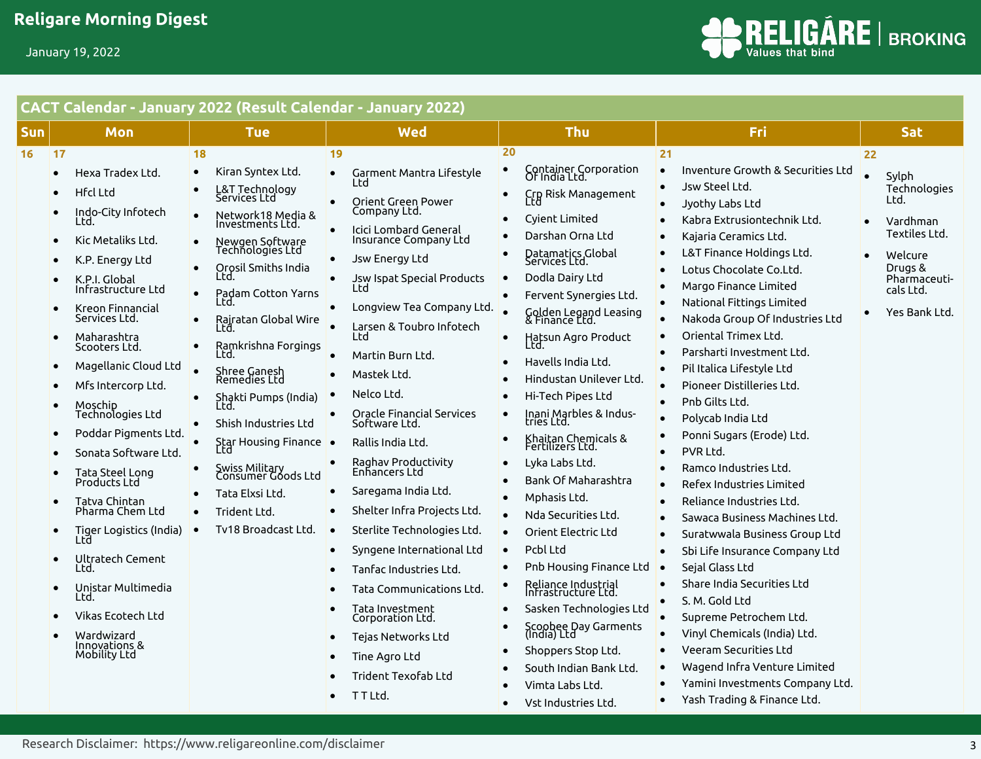

# **CACT Calendar - January 2022 (Result Calendar - January 2022)**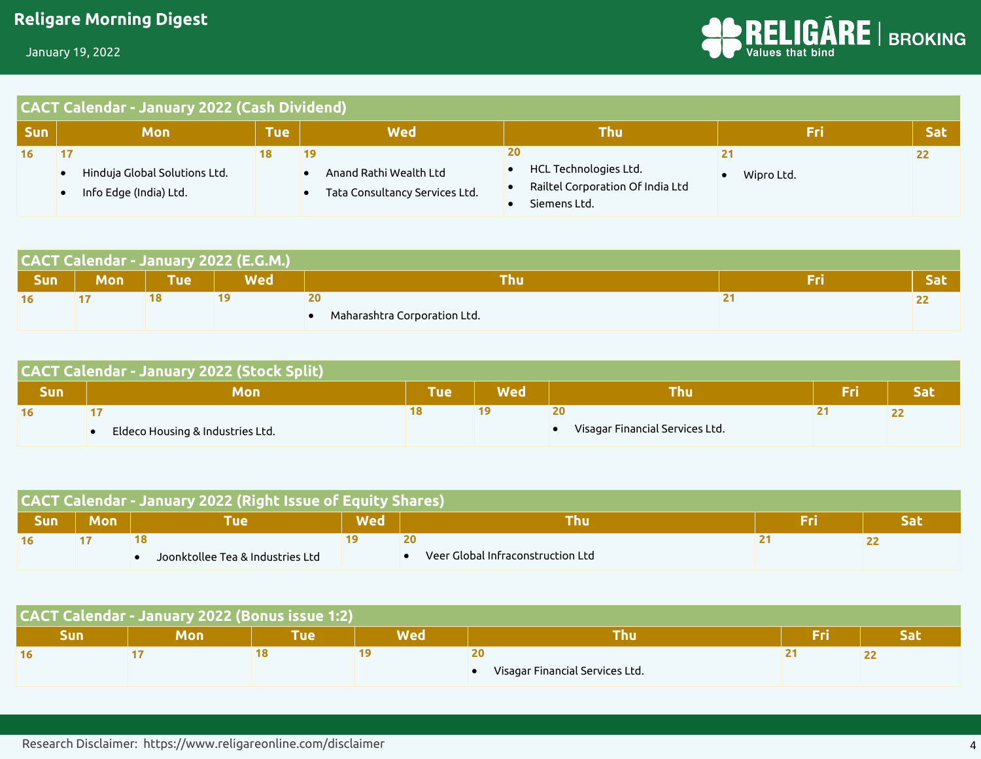

| <b>CACT Calendar - January 2022 (Cash Dividend)</b> |  |
|-----------------------------------------------------|--|
|-----------------------------------------------------|--|

| <b>Sun</b> | Mon                                                     | \Tue\ | Wed                                                            | Thu                                                                             | Fri              | <b>Sat</b> |
|------------|---------------------------------------------------------|-------|----------------------------------------------------------------|---------------------------------------------------------------------------------|------------------|------------|
|            | Hinduja Global Solutions Ltd.<br>Info Edge (India) Ltd. |       | 19<br>Anand Rathi Wealth Ltd<br>Tata Consultancy Services Ltd. | 20<br>HCL Technologies Ltd.<br>Railtel Corporation Of India Ltd<br>Siemens Ltd. | 21<br>Wipro Ltd. |            |

|            | CACT Calendar - January 2022 (E.G.M.) |            |            |                              |  |     |  |  |  |  |
|------------|---------------------------------------|------------|------------|------------------------------|--|-----|--|--|--|--|
| <b>Sun</b> | <b>Mon</b>                            | <b>Tue</b> | <b>Wed</b> | ⊺hu                          |  | sac |  |  |  |  |
|            |                                       |            |            | 20                           |  |     |  |  |  |  |
|            |                                       |            |            | Maharashtra Corporation Ltd. |  |     |  |  |  |  |

|     | <b>CACT Calendar - January 2022 (Stock Split)</b> |                |            |                                 |  |     |  |  |  |  |
|-----|---------------------------------------------------|----------------|------------|---------------------------------|--|-----|--|--|--|--|
| Sun | Mon                                               | $\mathsf{Tue}$ | <b>Wed</b> | Thu                             |  | Sat |  |  |  |  |
| 16  |                                                   |                |            | 20                              |  |     |  |  |  |  |
|     | Eldeco Housing & Industries Ltd.                  |                |            | Visagar Financial Services Ltd. |  |     |  |  |  |  |

| <b>CACT Calendar - January 2022 (Right Issue of Equity Shares)</b> |            |                                  |            |                                                                 |  |  |  |  |  |  |
|--------------------------------------------------------------------|------------|----------------------------------|------------|-----------------------------------------------------------------|--|--|--|--|--|--|
| <b>Sun</b>                                                         | <b>Mon</b> | Tue                              | <b>Wed</b> |                                                                 |  |  |  |  |  |  |
|                                                                    |            |                                  |            |                                                                 |  |  |  |  |  |  |
|                                                                    |            | Joonktollee Tea & Industries Ltd |            | $\blacksquare$ Veer Global Infraconstruction Ltd $\blacksquare$ |  |  |  |  |  |  |

| <b>CACT Calendar - January 2022 (Bonus issue 1:2)</b> |     |      |            |                                 |     |  |  |  |  |  |
|-------------------------------------------------------|-----|------|------------|---------------------------------|-----|--|--|--|--|--|
| Sun                                                   | Mon | Tuel | <b>Wed</b> | Thu                             | Fri |  |  |  |  |  |
| 16                                                    |     |      |            | 20                              |     |  |  |  |  |  |
|                                                       |     |      |            | Visagar Financial Services Ltd. |     |  |  |  |  |  |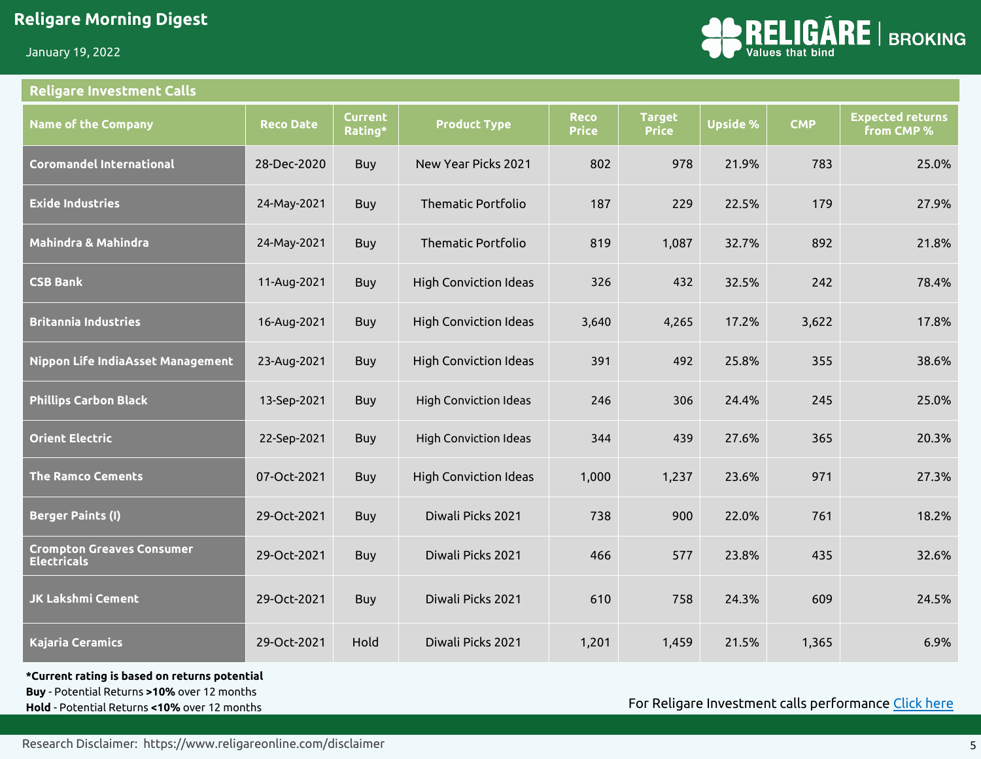January 19, 2022

#### **Religare Investment Calls**



| <b>Name of the Company</b>                             | <b>Reco Date</b> | <b>Current</b><br>Rating* | <b>Product Type</b>          | <b>Reco</b><br><b>Price</b> | <b>Target</b><br><b>Price</b> | <b>Upside %</b> | <b>CMP</b> | <b>Expected returns</b><br>from CMP % |
|--------------------------------------------------------|------------------|---------------------------|------------------------------|-----------------------------|-------------------------------|-----------------|------------|---------------------------------------|
| <b>Coromandel International</b>                        | 28-Dec-2020      | Buy                       | New Year Picks 2021          | 802                         | 978                           | 21.9%           | 783        | 25.0%                                 |
| <b>Exide Industries</b>                                | 24-May-2021      | <b>Buy</b>                | <b>Thematic Portfolio</b>    | 187                         | 229                           | 22.5%           | 179        | 27.9%                                 |
| Mahindra & Mahindra                                    | 24-May-2021      | <b>Buy</b>                | <b>Thematic Portfolio</b>    | 819                         | 1,087                         | 32.7%           | 892        | 21.8%                                 |
| <b>CSB Bank</b>                                        | 11-Aug-2021      | <b>Buy</b>                | <b>High Conviction Ideas</b> | 326                         | 432                           | 32.5%           | 242        | 78.4%                                 |
| Britannia Industries                                   | 16-Aug-2021      | Buy                       | <b>High Conviction Ideas</b> | 3,640                       | 4,265                         | 17.2%           | 3,622      | 17.8%                                 |
| Nippon Life IndiaAsset Management                      | 23-Aug-2021      | <b>Buy</b>                | <b>High Conviction Ideas</b> | 391                         | 492                           | 25.8%           | 355        | 38.6%                                 |
| <b>Phillips Carbon Black</b>                           | 13-Sep-2021      | <b>Buy</b>                | <b>High Conviction Ideas</b> | 246                         | 306                           | 24.4%           | 245        | 25.0%                                 |
| <b>Orient Electric</b>                                 | 22-Sep-2021      | <b>Buy</b>                | <b>High Conviction Ideas</b> | 344                         | 439                           | 27.6%           | 365        | 20.3%                                 |
| The Ramco Cements                                      | 07-Oct-2021      | <b>Buy</b>                | <b>High Conviction Ideas</b> | 1,000                       | 1,237                         | 23.6%           | 971        | 27.3%                                 |
| <b>Berger Paints (I)</b>                               | 29-Oct-2021      | <b>Buy</b>                | Diwali Picks 2021            | 738                         | 900                           | 22.0%           | 761        | 18.2%                                 |
| <b>Crompton Greaves Consumer</b><br><b>Electricals</b> | 29-Oct-2021      | Buy                       | Diwali Picks 2021            | 466                         | 577                           | 23.8%           | 435        | 32.6%                                 |
| <b>JK Lakshmi Cement</b>                               | 29-Oct-2021      | Buy                       | Diwali Picks 2021            | 610                         | 758                           | 24.3%           | 609        | 24.5%                                 |
| <b>Kajaria Ceramics</b>                                | 29-Oct-2021      | Hold                      | Diwali Picks 2021            | 1,201                       | 1,459                         | 21.5%           | 1,365      | 6.9%                                  |

**\*Current rating is based on returns potential** 

**Buy** - Potential Returns **>10%** over 12 months

**Hold** - Potential Returns **<10%** over 12 months

For Religare Investment calls performance [Click here](https://cms.religareonline.com/media/11843/investment-call-edm_new.jpg)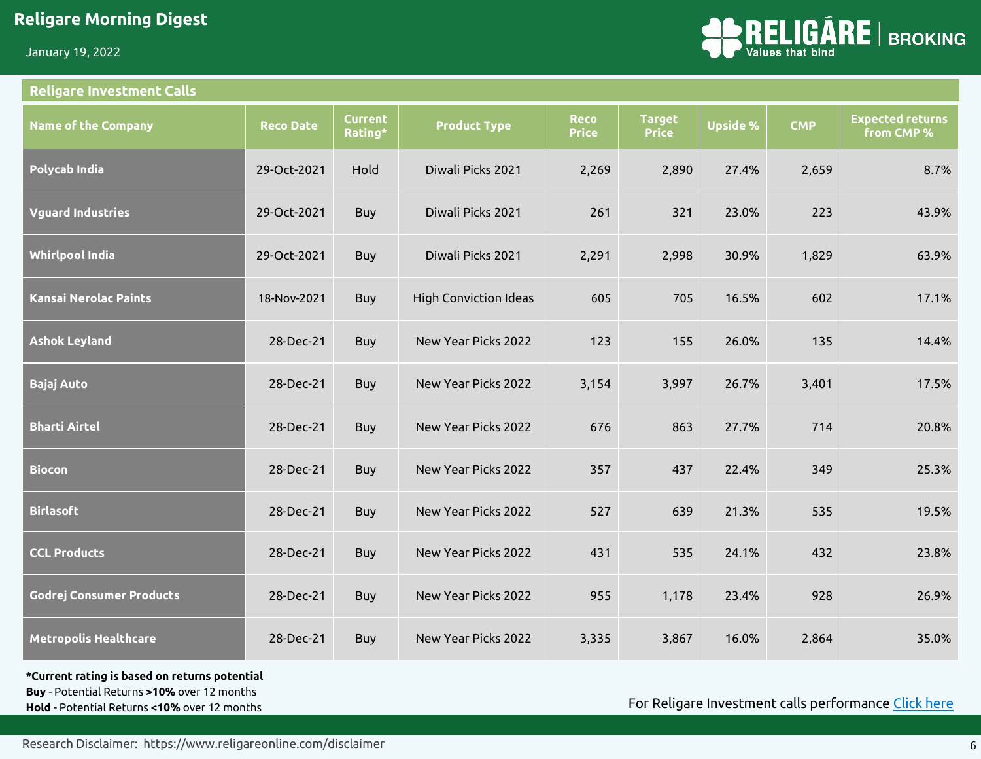January 19, 2022

#### **Religare Investment Calls**



| <b>Name of the Company</b>      | <b>Reco Date</b> | <b>Current</b><br>Rating* | <b>Product Type</b>          | <b>Reco</b><br><b>Price</b> | <b>Target</b><br><b>Price</b> | <b>Upside %</b> | <b>CMP</b> | <b>Expected returns</b><br>from CMP % |
|---------------------------------|------------------|---------------------------|------------------------------|-----------------------------|-------------------------------|-----------------|------------|---------------------------------------|
| Polycab India                   | 29-Oct-2021      | Hold                      | Diwali Picks 2021            | 2,269                       | 2,890                         | 27.4%           | 2,659      | 8.7%                                  |
| <b>Vguard Industries</b>        | 29-Oct-2021      | Buy                       | Diwali Picks 2021            | 261                         | 321                           | 23.0%           | 223        | 43.9%                                 |
| <b>Whirlpool India</b>          | 29-Oct-2021      | Buy                       | Diwali Picks 2021            | 2,291                       | 2,998                         | 30.9%           | 1,829      | 63.9%                                 |
| <b>Kansai Nerolac Paints</b>    | 18-Nov-2021      | <b>Buy</b>                | <b>High Conviction Ideas</b> | 605                         | 705                           | 16.5%           | 602        | 17.1%                                 |
| <b>Ashok Leyland</b>            | 28-Dec-21        | <b>Buy</b>                | New Year Picks 2022          | 123                         | 155                           | 26.0%           | 135        | 14.4%                                 |
| <b>Bajaj Auto</b>               | 28-Dec-21        | Buy                       | New Year Picks 2022          | 3,154                       | 3,997                         | 26.7%           | 3,401      | 17.5%                                 |
| <b>Bharti Airtel</b>            | 28-Dec-21        | Buy                       | New Year Picks 2022          | 676                         | 863                           | 27.7%           | 714        | 20.8%                                 |
| <b>Biocon</b>                   | 28-Dec-21        | Buy                       | New Year Picks 2022          | 357                         | 437                           | 22.4%           | 349        | 25.3%                                 |
| <b>Birlasoft</b>                | 28-Dec-21        | <b>Buy</b>                | New Year Picks 2022          | 527                         | 639                           | 21.3%           | 535        | 19.5%                                 |
| <b>CCL Products</b>             | 28-Dec-21        | <b>Buy</b>                | New Year Picks 2022          | 431                         | 535                           | 24.1%           | 432        | 23.8%                                 |
| <b>Godrej Consumer Products</b> | 28-Dec-21        | <b>Buy</b>                | New Year Picks 2022          | 955                         | 1,178                         | 23.4%           | 928        | 26.9%                                 |
| <b>Metropolis Healthcare</b>    | 28-Dec-21        | <b>Buy</b>                | New Year Picks 2022          | 3,335                       | 3,867                         | 16.0%           | 2,864      | 35.0%                                 |

**\*Current rating is based on returns potential** 

**Buy** - Potential Returns **>10%** over 12 months **Hold** - Potential Returns **<10%** over 12 months

For Religare Investment calls performance [Click here](https://cms.religareonline.com/media/11843/investment-call-edm_new.jpg)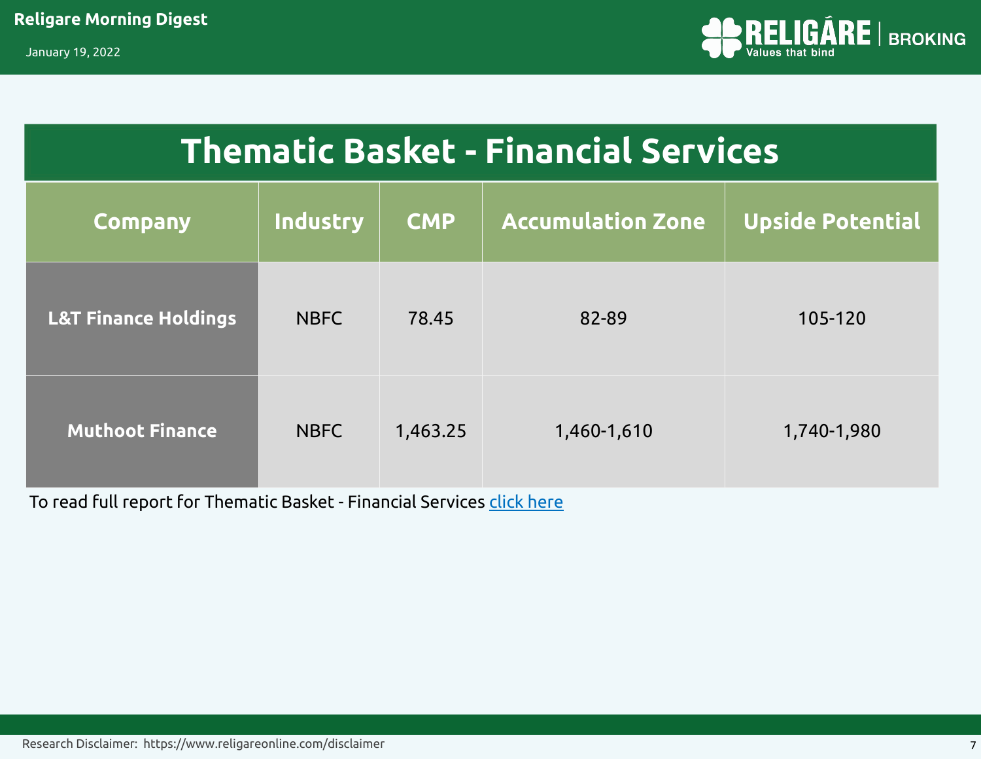

# **Thematic Basket - Financial Services**

| <b>Company</b>                  | Industry    | <b>CMP</b> | <b>Accumulation Zone</b> | <b>Upside Potential</b> |
|---------------------------------|-------------|------------|--------------------------|-------------------------|
| <b>L&amp;T Finance Holdings</b> | <b>NBFC</b> | 78.45      | 82-89                    | 105-120                 |
| <b>Muthoot Finance</b>          | <b>NBFC</b> | 1,463.25   | 1,460-1,610              | 1,740-1,980             |

To read full report for Thematic Basket - Financial Services [click here](https://cms.religareonline.com/media/10257/thematic-basket-financial-services.pdf)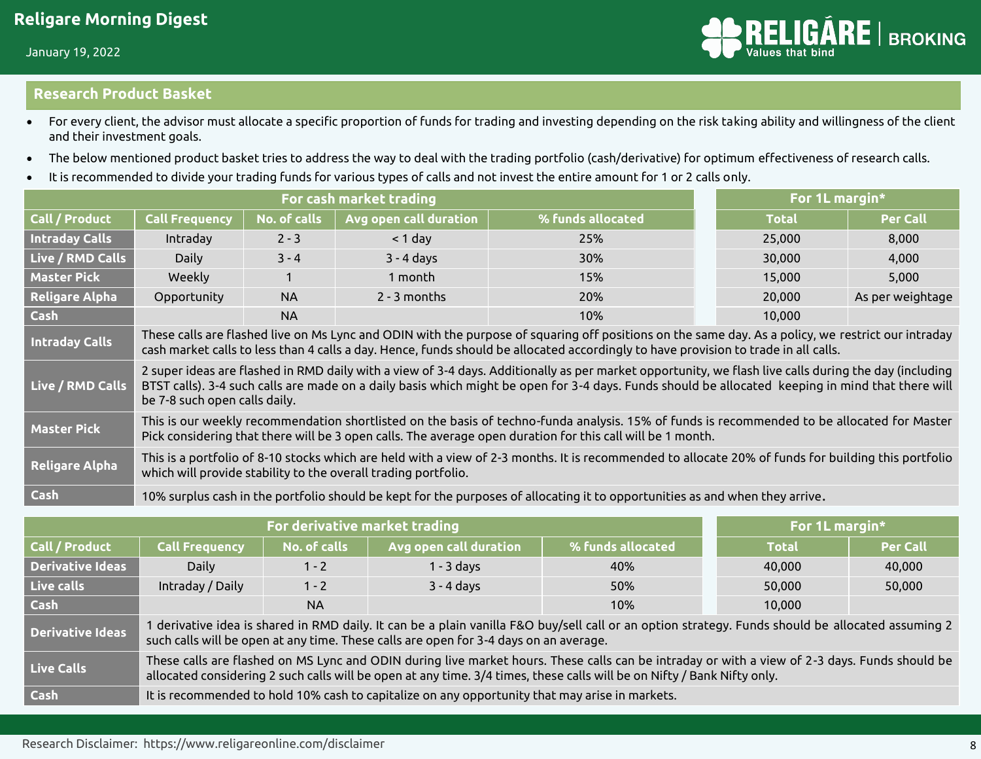#### **Research Product Basket**

- For every client, the advisor must allocate a specific proportion of funds for trading and investing depending on the risk taking ability and willingness of the client and their investment goals.
- The below mentioned product basket tries to address the way to deal with the trading portfolio (cash/derivative) for optimum effectiveness of research calls.
- It is recommended to divide your trading funds for various types of calls and not invest the entire amount for 1 or 2 calls only.

|                       |                                                                                                                                                                                                                                                                                                                                             |                                                                                                                                                                                                                       | For 1L margin*         |                                                                                                                                                                                                                                                                                           |  |        |                  |  |  |  |
|-----------------------|---------------------------------------------------------------------------------------------------------------------------------------------------------------------------------------------------------------------------------------------------------------------------------------------------------------------------------------------|-----------------------------------------------------------------------------------------------------------------------------------------------------------------------------------------------------------------------|------------------------|-------------------------------------------------------------------------------------------------------------------------------------------------------------------------------------------------------------------------------------------------------------------------------------------|--|--------|------------------|--|--|--|
| Call / Product        | <b>Call Frequency</b>                                                                                                                                                                                                                                                                                                                       | No. of calls                                                                                                                                                                                                          | Avg open call duration | % funds allocated                                                                                                                                                                                                                                                                         |  | Total  | <b>Per Call</b>  |  |  |  |
| <b>Intraday Calls</b> | Intraday                                                                                                                                                                                                                                                                                                                                    | $2 - 3$                                                                                                                                                                                                               | $<$ 1 day              | 25%                                                                                                                                                                                                                                                                                       |  | 25,000 | 8,000            |  |  |  |
| Live / RMD Calls      | Daily                                                                                                                                                                                                                                                                                                                                       | $3 - 4$                                                                                                                                                                                                               | $3 - 4$ days           | 30%                                                                                                                                                                                                                                                                                       |  | 30,000 | 4,000            |  |  |  |
| <b>Master Pick</b>    | Weekly                                                                                                                                                                                                                                                                                                                                      |                                                                                                                                                                                                                       | 1 month                | 15%                                                                                                                                                                                                                                                                                       |  | 15,000 | 5,000            |  |  |  |
| <b>Religare Alpha</b> | Opportunity                                                                                                                                                                                                                                                                                                                                 | <b>NA</b>                                                                                                                                                                                                             | $2 - 3$ months         | 20%                                                                                                                                                                                                                                                                                       |  | 20,000 | As per weightage |  |  |  |
| Cash                  |                                                                                                                                                                                                                                                                                                                                             | <b>NA</b>                                                                                                                                                                                                             |                        | 10%                                                                                                                                                                                                                                                                                       |  | 10,000 |                  |  |  |  |
| <b>Intraday Calls</b> |                                                                                                                                                                                                                                                                                                                                             |                                                                                                                                                                                                                       |                        | These calls are flashed live on Ms Lync and ODIN with the purpose of squaring off positions on the same day. As a policy, we restrict our intraday<br>cash market calls to less than 4 calls a day. Hence, funds should be allocated accordingly to have provision to trade in all calls. |  |        |                  |  |  |  |
| Live / RMD Calls      | 2 super ideas are flashed in RMD daily with a view of 3-4 days. Additionally as per market opportunity, we flash live calls during the day (including<br>BTST calls). 3-4 such calls are made on a daily basis which might be open for 3-4 days. Funds should be allocated keeping in mind that there will<br>be 7-8 such open calls daily. |                                                                                                                                                                                                                       |                        |                                                                                                                                                                                                                                                                                           |  |        |                  |  |  |  |
| Master Pick           | This is our weekly recommendation shortlisted on the basis of techno-funda analysis. 15% of funds is recommended to be allocated for Master<br>Pick considering that there will be 3 open calls. The average open duration for this call will be 1 month.                                                                                   |                                                                                                                                                                                                                       |                        |                                                                                                                                                                                                                                                                                           |  |        |                  |  |  |  |
| <b>Religare Alpha</b> |                                                                                                                                                                                                                                                                                                                                             | This is a portfolio of 8-10 stocks which are held with a view of 2-3 months. It is recommended to allocate 20% of funds for building this portfolio<br>which will provide stability to the overall trading portfolio. |                        |                                                                                                                                                                                                                                                                                           |  |        |                  |  |  |  |
| Cash                  |                                                                                                                                                                                                                                                                                                                                             |                                                                                                                                                                                                                       |                        | 10% surplus cash in the portfolio should be kept for the purposes of allocating it to opportunities as and when they arrive.                                                                                                                                                              |  |        |                  |  |  |  |

|                         | For derivative market trading                                                                                                                                                                                                                                            | For 1L margin* |                                                                                                |                   |              |                 |  |  |  |  |  |
|-------------------------|--------------------------------------------------------------------------------------------------------------------------------------------------------------------------------------------------------------------------------------------------------------------------|----------------|------------------------------------------------------------------------------------------------|-------------------|--------------|-----------------|--|--|--|--|--|
| Call / Product          | <b>Call Frequency</b>                                                                                                                                                                                                                                                    | No. of calls   | Avg open call duration                                                                         | % funds allocated | <b>Total</b> | <b>Per Call</b> |  |  |  |  |  |
| <b>Derivative Ideas</b> | <b>Daily</b>                                                                                                                                                                                                                                                             | $1 - 2$        | $1 - 3$ days                                                                                   | 40%               | 40,000       | 40,000          |  |  |  |  |  |
| Live calls              | Intraday / Daily                                                                                                                                                                                                                                                         | $1 - 2$        | $3 - 4$ days                                                                                   | 50%               | 50,000       | 50,000          |  |  |  |  |  |
| Cash                    |                                                                                                                                                                                                                                                                          | <b>NA</b>      |                                                                                                | 10%               | 10,000       |                 |  |  |  |  |  |
| <b>Derivative Ideas</b> | I derivative idea is shared in RMD daily. It can be a plain vanilla F&O buy/sell call or an option strategy. Funds should be allocated assuming 2<br>such calls will be open at any time. These calls are open for 3-4 days on an average.                               |                |                                                                                                |                   |              |                 |  |  |  |  |  |
| <b>Live Calls</b>       | These calls are flashed on MS Lync and ODIN during live market hours. These calls can be intraday or with a view of 2-3 days. Funds should be<br>allocated considering 2 such calls will be open at any time. 3/4 times, these calls will be on Nifty / Bank Nifty only. |                |                                                                                                |                   |              |                 |  |  |  |  |  |
| Cash                    |                                                                                                                                                                                                                                                                          |                | It is recommended to hold 10% cash to capitalize on any opportunity that may arise in markets. |                   |              |                 |  |  |  |  |  |

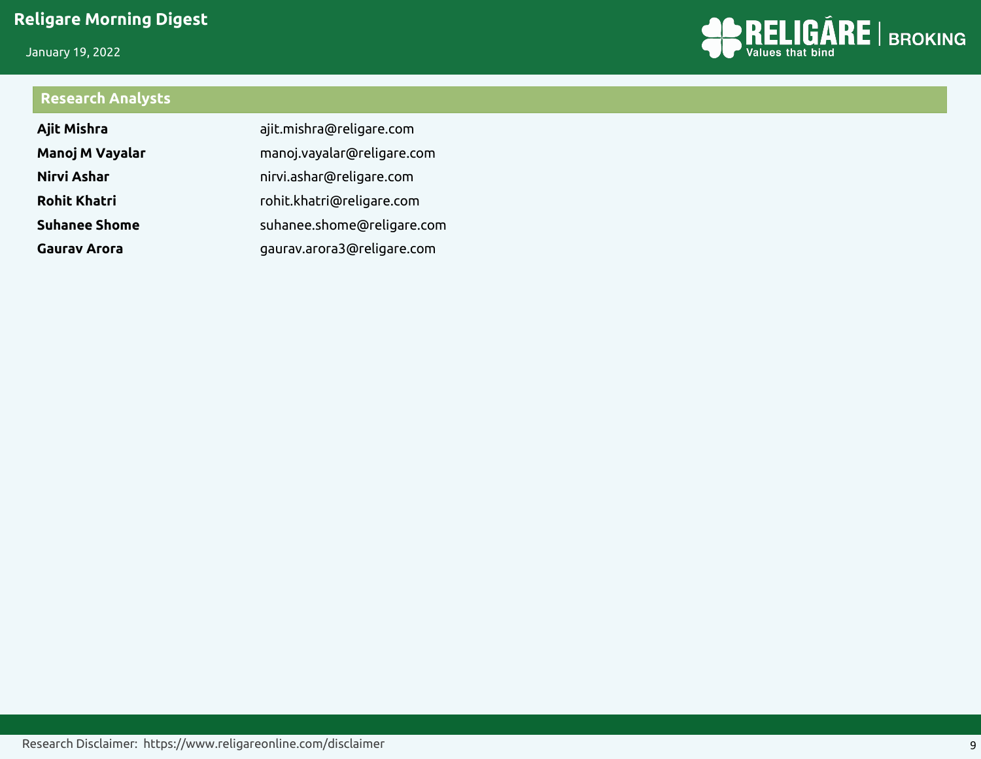January 19, 2022



## **Research Analysts**

| Ajit Mishra          | ajit.mishra@religare.com   |
|----------------------|----------------------------|
| Manoj M Vayalar      | manoj.vayalar@religare.com |
| Nirvi Ashar          | nirvi.ashar@religare.com   |
| <b>Rohit Khatri</b>  | rohit.khatri@religare.com  |
| <b>Suhanee Shome</b> | suhanee.shome@religare.com |
| <b>Gauray Arora</b>  | gaurav.arora3@religare.com |